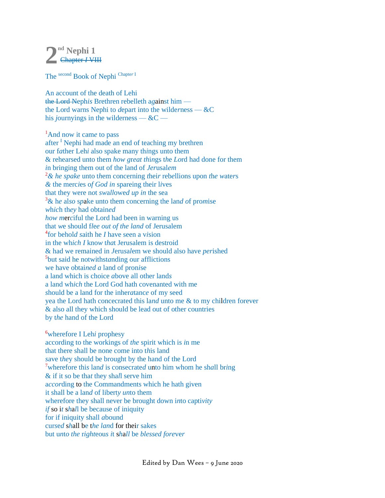## **nd Nephi 1 2**Chapter *I* VIII

The second Book of Nephi Chapte*<sup>r</sup>* <sup>I</sup>

An account of the death of Lehi the Lord Neph*is* Brethren rebelleth a*g*ainst him the Lord warns Nephi to *d*epart into the wilde*r*ness — &C his *journyings* in the wilderness —  $\&C$  —

<sup>1</sup>And now it came to pass after <sup>I</sup> Nephi had made an end of teaching my brethren our f*a*ther Leh*i* also spake many th*i*ngs unto them & rehearsed unto them *how g*r*eat th*i*n*gs t*h*e *Lo*rd had done for them *i*n bringing them out of the land of *Jer*usal*em* <sup>2</sup>*& he spake* unto t*h*em concerning *t*hei*r* reb*e*llions upon *t*h*e w*ate*r*s *&* the merc*i*es o*f God in* spareing their l*i*ves that they were n*o*t *sw*a*ll*owe*d up in* the sea <sup>3</sup>& h*e* al*so* s*p*ake unto them concerning the lan*d o*f pro*m*ise *w*h*ic*h th*ey* had obtain*ed how m*er*c*iful the Lord had been in warning us that *w*e should f*l*e*e out of the land* of Jerusalem 4 for behol*d s*aith he *I* have seen a v*i*sion in the wh*ich I* kno*w* t*ha*t Jerusalem is destroid & had we remained in *J*eru*s*a*l*em we should also have *per*ished 5 but said he notwithst*a*nding our afflictions we have obtai*ned a* land of pron*i*se a land which is choice *a*bove all other land*s* a land wh*i*c*h* the Lord God hath covenanted with me *s*hould be a land for the inher*a*tanc*e* of my seed yea the Lord hath concecrated this la*nd* unto me & to my children forever & also all they which should be lead out of other countries by t*he* hand of the Lord

<sup>6</sup>wherefore I Leh*i* prophesy according to the workings of *the* spirit which is *i*n me that there shall be none come into t*h*is land *s*ave t*he*y should be brought by the hand of the Lord <sup>7</sup>wherefore thi*s* lan*d* is consecrate*d* unto him whom he sh*a*ll br*i*ng & if it so be tha*t* they sha*l*l serve him a*ccor*ding to the Commandments which he hath given it shall be a lan*d* of libert*y un*to them wherefore they shall never be brought down i*n*to capti*vity if* so i*t* s*h*a*l*l be because of iniquity for if iniquity shall *a*bound cur*s*e*d* s*h*all be t*he lan*d for their sakes but u*n*t*o the* r*ight*eou*s i*t s*h*a*ll* be *blessed fore*ve*r*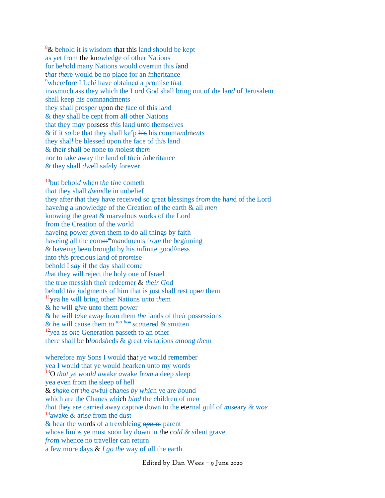$8\&$  behold it is wisdom that this land should be kept as yet from the kn*ow*ledge of other Nations for be*h*old many Nations would overrun this *l*and t*hat the*re would be no place for an *i*nheritance <sup>9</sup>wherefore I Leh*i* have obtaine*d* a p*r*omise t*h*at in*as*much ass they which the Lord God shall bring out of *t*he la*nd* of Jerusalem shall keep his comnandments they shall prosper *up*on *t*he *f*ace of this la*n*d & the*y* shall be cept from all other Nations that they m*a*y po*s*sess *th*is la*n*d unto themsel*v*es & if it *so* be that they shall ke<sup>e</sup>p his his commandments they shal*l* be blessed upon the face of th*i*s land & the*i*r shall be none to *m*olest the*m* nor to take away the land of t*h*eir *i*nheritan*c*e & they shall *dw*ell saf*e*ly forever

<sup>10</sup>but behol*d* whe*n* t*h*e t*in*e cometh th*a*t they shall *dwin*dle in unbelief they after that they have received so great blessings f*r*o*m* the ha*n*d of the Lord have*i*ng a knowledge of the Creation of the earth & all *m*e*n* knowing the great & marvelous works of the Lord from the Creation of the *wor*ld ha*v*eing power *g*iven them to do all things by faith haveing all the comm <sup>m</sup>m*a*ndments f*rom* th*e* beg*i*nning & haveing been brought by his *infinite* good $\Diamond$ ness into t*hi*s precious la*n*d of pro*m*ise behold I s*ay i*f th*e* day shall come *th*at they will reject the holy one of Israel the true messiah the*i*r redeemer & *th*e*ir G*od behold t*h*e *j*udgments of him that is *j*ust shall rest upo*n* them <sup>11</sup>y*e*a he will bring other Nations u*n*to t*h*em & he will g*i*ve unto them power & he will t*a*ke awa*y* fr*o*m them *th*e lands of the*i*r possessions & *h*e will cause them *to* <sup>too *ben*</sup> scattered & smitten <sup>12</sup>*y*ea as o*n*e Generation passeth to an other there shall be b*loo*d*she*ds & great visitations *a*mo*n*g *th*em

wheref*ore* my Sons I would that ye would remember yea I would that ye would hearken unto my words <sup>13</sup>O *that ye w*ou*ld a*wak*e a*wake f*rom* a deep *s*leep yea even from the sleep of hell & s*hak*e *off* t*h*e *aw*fu*l* cha*n*es *by whic*h ye are *b*ound which are the Chanes *w*hich *bind* the *c*hildren of me*n t*h*a*t they are carrie*d* away captive down to the ete*r*nal *g*ulf of *m*iseary *&* w*oe* <sup>14</sup>awa*k*e & aris*e* from the d*u*st & hear the words *o*f a tre*m*bleing o*pe*rnt parent whose limbs ye must soon lay down in *t*he co*ld & s*ilent grave *fro*m whence no traveller can return a few more days & *I go th*e way of *a*ll the earth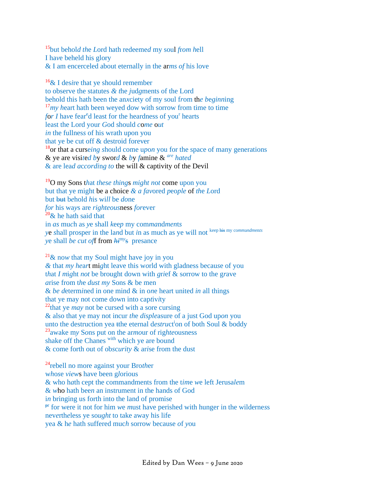<sup>15</sup>but behol*d th*e *L*ord hath redeeme*d* my soul *f*r*om h*ell I ha*v*e beheld his glory & I am encerceled about eternally in the ar*ms of* his love

<sup>16</sup>& I des*i*re that ye should remember to observe the statutes *& t*he *j*ud*g*ments of the Lord behold this hath been the an*x*ciety of my soul f*r*om th*e b*e*ginn*ing <sup>17</sup>*my* heart hath been weyed dow with sorrow from time to time for *I* have fear<sup>e</sup>d least for the heardness of you<sup>r</sup> hearts least the Lord your *G*od should *c*o*me* o*ut in* the fullnes*s* of his wrath upon you that ye be cut off & destroid forever <sup>18</sup>or that a curse*ing s*hould come u*p*o*n* you for the space of many generations & ye are visi*t*e*d b*y swor*d* & *b*y *f*amine & *are hated*  & are lea*d a*c*cordi*n*g to* the will & captivity of the Devil

<sup>19</sup>O my Sons t*h*at *these thing*s *might n*o*t* come upon you but that ye might be a choice *& a fav*ored *p*eo*ple* of *th*e *L*ord but but b*e*hold *h*is wi*ll* be *do*ne *for* his wa*y*s are *righteous*ness *for*ever  $20\&$  he hath said that in *as* mu*c*h as *y*e shall *k*ee*p* my com*ma*nd*men*t*s y*e *s*hall prosper in the la*n*d but *i*n as much as ye will not keep his my co*mm*a*ndm*en*ts y*e shall *be cut of*f from *hi*<sup>m</sup>*<sup>y</sup>* s presance

 $21\&$  now that my Soul might have joy in you *&* that *my he*a*r*t mi*g*ht leave this w*o*rld with gladness becau*s*e of you t*h*at *I m*i*g*ht *not* be brought down with *g*r*i*ef & s*o*rrow to the g*r*ave *a*rise from t*h*e *dust my* Sons & be men & *be d*eterm*i*ned in one mind & in o*n*e heart united *in* all things that ye may not come down into cap*t*iv*i*ty <sup>22</sup>that ye *may* not be cursed with a sore cursing & also that ye may not incur *th*e *disple*asure of a just God up*on* you unto the destruction yea the eternal destruct<sup>i</sup>on of both Soul & boddy <sup>23</sup>awake m*y* S*o*ns put on the ar*mo*ur of rig*hte*ousness shake off the Chanes with which ye are bound & come forth out of ob*s*c*urity* & ar*i*se from the dust

<sup>24</sup>rebell no more against your Bro*th*er w*h*o*s*e *view*s have been g*l*orious & who h*a*th cept the commandments from the t*im*e *w*e left Jerusa*le*m & *w*ho hath bee*n* an instrument in the hands of God i*n* bringing us forth into the land of promise pr for were it not for him *w*e *m*ust have perished with hunger in the wilderne*s*s nev*e*rth*e*less ye so*ught* to take away his life yea & h*e* hath suffered muc*h* sorrow because *o*f *y*ou